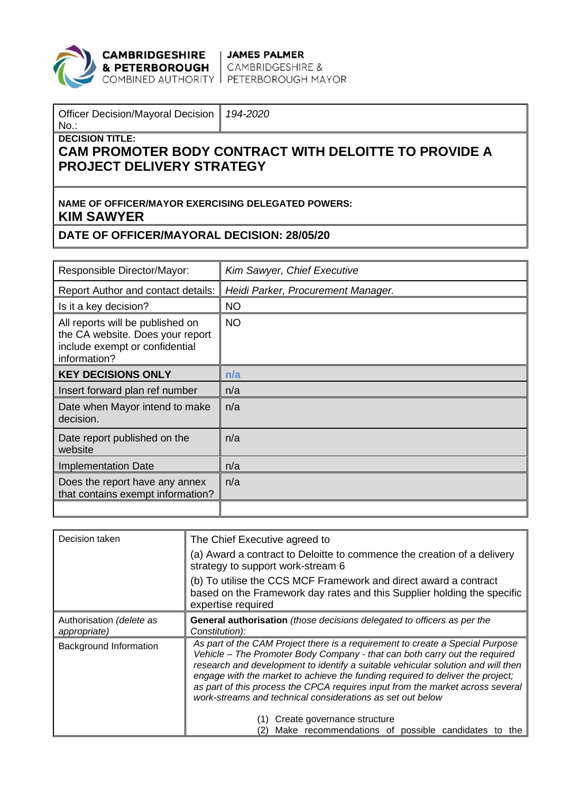

**CAMBRIDGESHIRE** JAMES PALMER<br> **& PETERBOROUGH** CAMBRIDGESHIRE &<br>
COMBINED AUTHORITY PETERBOROUGH MAYOR

| Officer Decision/Mayoral Decision   194-2020<br>$N_{\rm O}$ . |  |
|---------------------------------------------------------------|--|
| DECISION TITLE:                                               |  |

## **CAM PROMOTER BODY CONTRACT WITH DELOITTE TO PROVIDE A PROJECT DELIVERY STRATEGY**

### **NAME OF OFFICER/MAYOR EXERCISING DELEGATED POWERS: KIM SAWYER**

#### **DATE OF OFFICER/MAYORAL DECISION: 28/05/20**

| Responsible Director/Mayor:                                                                                            | Kim Sawyer, Chief Executive        |
|------------------------------------------------------------------------------------------------------------------------|------------------------------------|
| <b>Report Author and contact details:</b>                                                                              | Heidi Parker, Procurement Manager. |
| Is it a key decision?                                                                                                  | <b>NO</b>                          |
| All reports will be published on<br>the CA website. Does your report<br>include exempt or confidential<br>information? | <b>NO</b>                          |
| <b>KEY DECISIONS ONLY</b>                                                                                              | n/a                                |
| Insert forward plan ref number                                                                                         | n/a                                |
| Date when Mayor intend to make<br>decision.                                                                            | n/a                                |
| Date report published on the<br>website                                                                                | n/a                                |
| <b>Implementation Date</b>                                                                                             | n/a                                |
| Does the report have any annex<br>that contains exempt information?                                                    | n/a                                |
|                                                                                                                        |                                    |

| Decision taken                           | The Chief Executive agreed to<br>(a) Award a contract to Deloitte to commence the creation of a delivery<br>strategy to support work-stream 6<br>(b) To utilise the CCS MCF Framework and direct award a contract<br>based on the Framework day rates and this Supplier holding the specific<br>expertise required                                                                                                                                                                                               |  |
|------------------------------------------|------------------------------------------------------------------------------------------------------------------------------------------------------------------------------------------------------------------------------------------------------------------------------------------------------------------------------------------------------------------------------------------------------------------------------------------------------------------------------------------------------------------|--|
| Authorisation (delete as<br>appropriate) | General authorisation (those decisions delegated to officers as per the<br>Constitution):                                                                                                                                                                                                                                                                                                                                                                                                                        |  |
| <b>Background Information</b>            | As part of the CAM Project there is a requirement to create a Special Purpose<br>Vehicle – The Promoter Body Company - that can both carry out the required<br>research and development to identify a suitable vehicular solution and will then<br>engage with the market to achieve the funding required to deliver the project;<br>as part of this process the CPCA requires input from the market across several<br>work-streams and technical considerations as set out below<br>Create governance structure |  |
|                                          | Make recommendations of possible candidates to the                                                                                                                                                                                                                                                                                                                                                                                                                                                               |  |